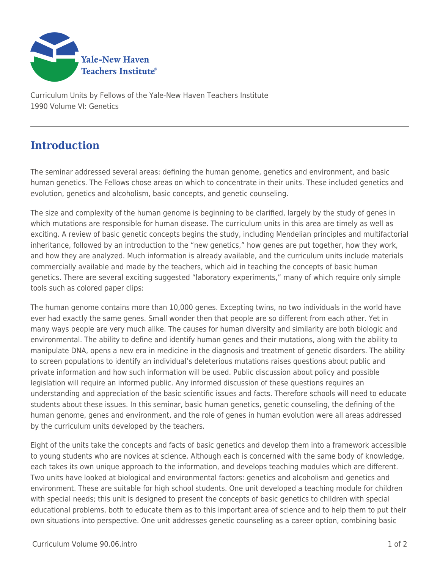

Curriculum Units by Fellows of the Yale-New Haven Teachers Institute 1990 Volume VI: Genetics

## **Introduction**

The seminar addressed several areas: defining the human genome, genetics and environment, and basic human genetics. The Fellows chose areas on which to concentrate in their units. These included genetics and evolution, genetics and alcoholism, basic concepts, and genetic counseling.

The size and complexity of the human genome is beginning to be clarified, largely by the study of genes in which mutations are responsible for human disease. The curriculum units in this area are timely as well as exciting. A review of basic genetic concepts begins the study, including Mendelian principles and multifactorial inheritance, followed by an introduction to the "new genetics," how genes are put together, how they work, and how they are analyzed. Much information is already available, and the curriculum units include materials commercially available and made by the teachers, which aid in teaching the concepts of basic human genetics. There are several exciting suggested "laboratory experiments," many of which require only simple tools such as colored paper clips:

The human genome contains more than 10,000 genes. Excepting twins, no two individuals in the world have ever had exactly the same genes. Small wonder then that people are so different from each other. Yet in many ways people are very much alike. The causes for human diversity and similarity are both biologic and environmental. The ability to define and identify human genes and their mutations, along with the ability to manipulate DNA, opens a new era in medicine in the diagnosis and treatment of genetic disorders. The ability to screen populations to identify an individual's deleterious mutations raises questions about public and private information and how such information will be used. Public discussion about policy and possible legislation will require an informed public. Any informed discussion of these questions requires an understanding and appreciation of the basic scientific issues and facts. Therefore schools will need to educate students about these issues. In this seminar, basic human genetics, genetic counseling, the defining of the human genome, genes and environment, and the role of genes in human evolution were all areas addressed by the curriculum units developed by the teachers.

Eight of the units take the concepts and facts of basic genetics and develop them into a framework accessible to young students who are novices at science. Although each is concerned with the same body of knowledge, each takes its own unique approach to the information, and develops teaching modules which are different. Two units have looked at biological and environmental factors: genetics and alcoholism and genetics and environment. These are suitable for high school students. One unit developed a teaching module for children with special needs; this unit is designed to present the concepts of basic genetics to children with special educational problems, both to educate them as to this important area of science and to help them to put their own situations into perspective. One unit addresses genetic counseling as a career option, combining basic